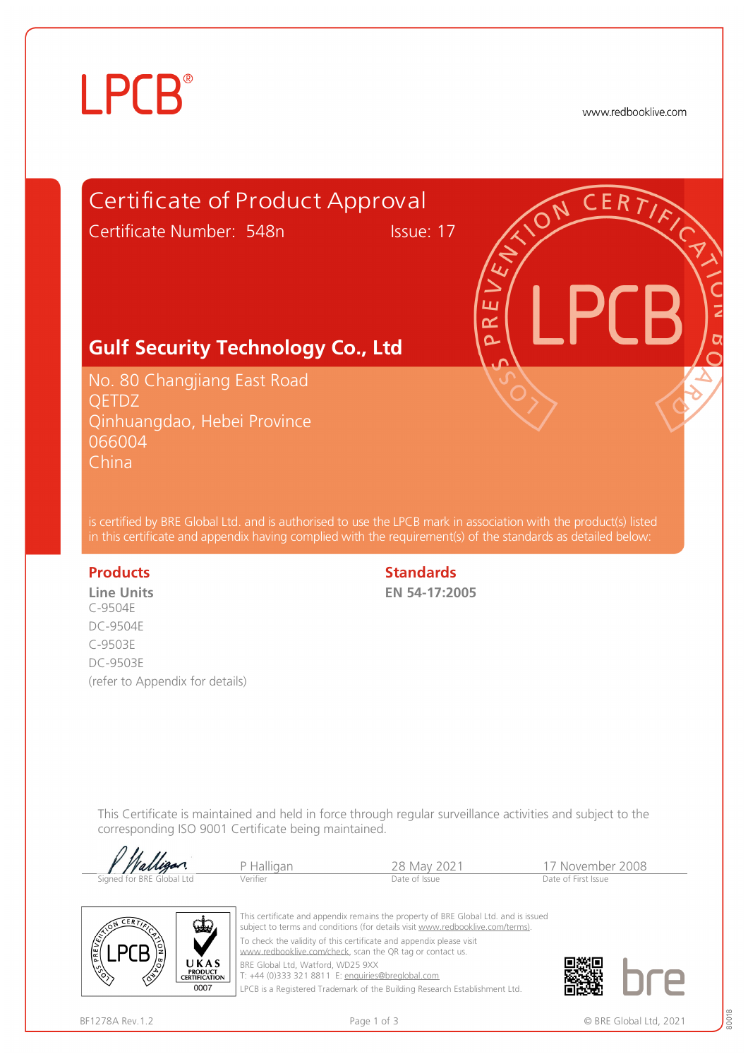## **LPCB**®

www.redbooklive.com



LPCB is a Registered Trademark of the Building Research Establishment Ltd.

 $0007$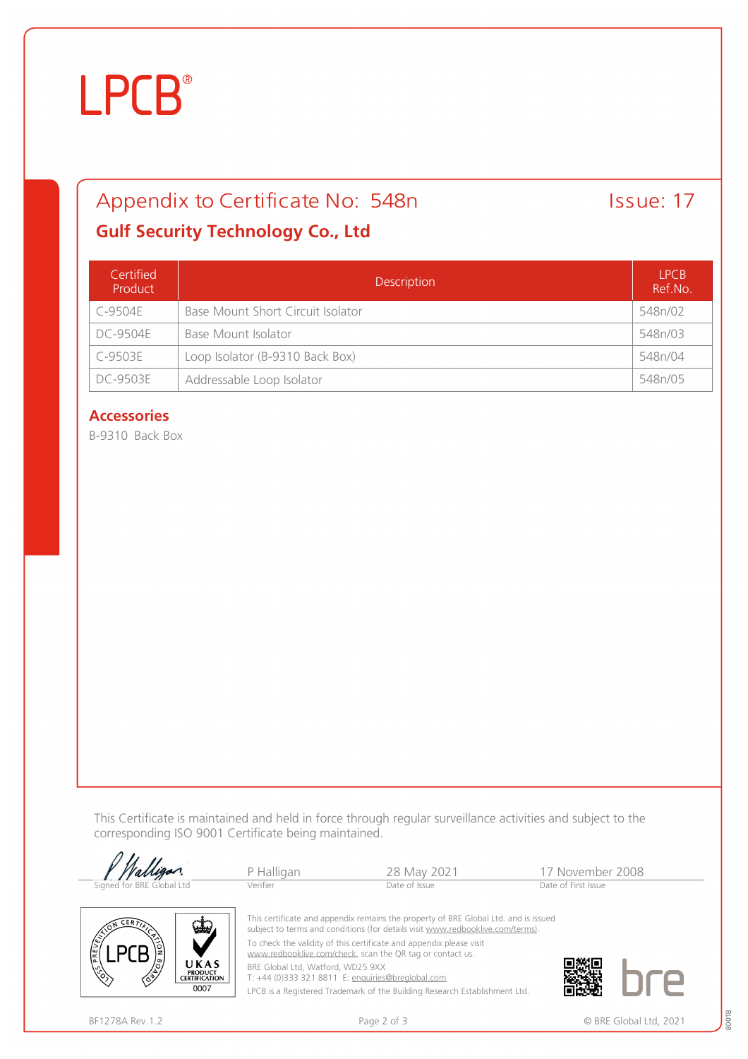# **LPCB**®

## Appendix to Certificate No: 548n Issue: 17

### **Gulf Security Technology Co., Ltd**

| Certified<br>Product | Description                       | <b>LPCB</b><br>Ref.No. |
|----------------------|-----------------------------------|------------------------|
| C-9504E              | Base Mount Short Circuit Isolator | 548n/02                |
| DC-9504F             | Base Mount Isolator               | 548n/03                |
| C-9503E              | Loop Isolator (B-9310 Back Box)   | 548n/04                |
| <b>DC-9503E</b>      | Addressable Loop Isolator         | 548n/05                |

### **Accessories**

B-9310 Back Box

This Certificate is maintained and held in force through regular surveillance activities and subject to the corresponding ISO 9001 Certificate being maintained.

|                           | P Halligan                | 28 May 2021                                                                                                                                                                                                                                               | 17 November 2008    |
|---------------------------|---------------------------|-----------------------------------------------------------------------------------------------------------------------------------------------------------------------------------------------------------------------------------------------------------|---------------------|
| Signed for BRE Global Ltd | Verifier<br>Date of Issue |                                                                                                                                                                                                                                                           | Date of First Issue |
| <b>VELV</b><br>図          |                           | This certificate and appendix remains the property of BRE Global Ltd. and is issued<br>subject to terms and conditions (for details visit www.redbooklive.com/terms).<br>The planned that unlightened that providing to a non-annually information of the |                     |

To check the validity of this certificate and appendix please visit [www.redbooklive.com/check](http://www.redbooklive.com/check), scan the QR tag or contact us.

BRE Global Ltd, Watford, WD25 9XX

T: +44 (0)333 321 8811 E: [enquiries@breglobal.com](mailto:enquiries@breglobal.com)

LPCB is a Registered Trademark of the Building Research Establishment Ltd.

**LPCB** 

UKAS **PRODUCT<br>CERTIFICATION** 0007

80018